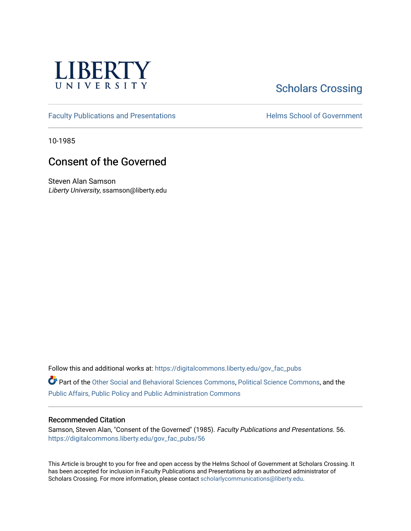

# **Scholars Crossing**

[Faculty Publications and Presentations](https://digitalcommons.liberty.edu/gov_fac_pubs) **Exercise School of Government** 

10-1985

# Consent of the Governed

Steven Alan Samson Liberty University, ssamson@liberty.edu

Follow this and additional works at: [https://digitalcommons.liberty.edu/gov\\_fac\\_pubs](https://digitalcommons.liberty.edu/gov_fac_pubs?utm_source=digitalcommons.liberty.edu%2Fgov_fac_pubs%2F56&utm_medium=PDF&utm_campaign=PDFCoverPages)

Part of the [Other Social and Behavioral Sciences Commons](http://network.bepress.com/hgg/discipline/437?utm_source=digitalcommons.liberty.edu%2Fgov_fac_pubs%2F56&utm_medium=PDF&utm_campaign=PDFCoverPages), [Political Science Commons](http://network.bepress.com/hgg/discipline/386?utm_source=digitalcommons.liberty.edu%2Fgov_fac_pubs%2F56&utm_medium=PDF&utm_campaign=PDFCoverPages), and the [Public Affairs, Public Policy and Public Administration Commons](http://network.bepress.com/hgg/discipline/393?utm_source=digitalcommons.liberty.edu%2Fgov_fac_pubs%2F56&utm_medium=PDF&utm_campaign=PDFCoverPages)

### Recommended Citation

Samson, Steven Alan, "Consent of the Governed" (1985). Faculty Publications and Presentations. 56. [https://digitalcommons.liberty.edu/gov\\_fac\\_pubs/56](https://digitalcommons.liberty.edu/gov_fac_pubs/56?utm_source=digitalcommons.liberty.edu%2Fgov_fac_pubs%2F56&utm_medium=PDF&utm_campaign=PDFCoverPages) 

This Article is brought to you for free and open access by the Helms School of Government at Scholars Crossing. It has been accepted for inclusion in Faculty Publications and Presentations by an authorized administrator of Scholars Crossing. For more information, please contact [scholarlycommunications@liberty.edu.](mailto:scholarlycommunications@liberty.edu)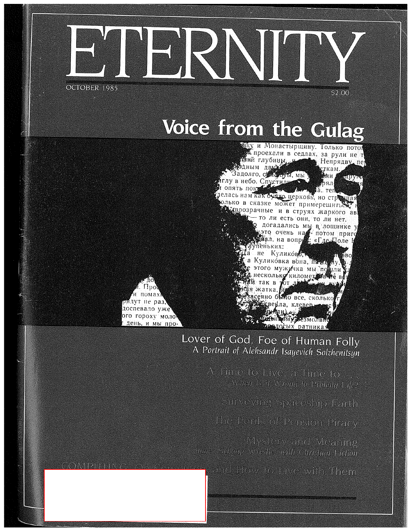

# Voice from the Gulag



 $($  (a)  $\vee$  D)



# Lover of God, Foe of Human Folly A Portrait of Aleksandr Isayevich Solzhenitsyn

A Time to Live, a Time to ... When is it Wrong to Prolong Life?,

Surveying Spaceship Earth

The Perils of Pension Piracy

Mystery and Meaning James Schoup Wrestles with Christian Fiction

tion, and How to Live with Them.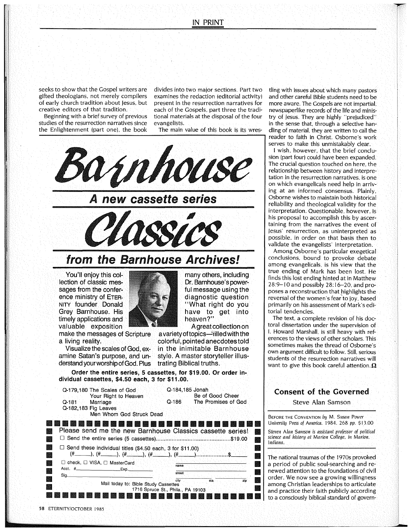seeks to show that the Gospel writers are gifted theologians, not merely compilers of early church tradition about Jesus, but creative editors of that tradition.

Beginning with a brief survey of previous studies of the resurrection narratives since the Enlightenment (part one), the book

divides into two major sections. Part two examines the redaction (editorial activityl present in the resurrection narratives for each of the Gospels, part three the traditional materials at the disposal of the four evangelists.

The main value of this book is its wres-



You'll enjoy this collection of classic messages from the conference ministry of ETER-NITY founder Donald Grey Barnhouse. His timely applications and valuable exposition

make the messages of Scripture a living reality.

Visualize the scales of God, examine Satan's purpose, and understandyourworshipofGod. Plus



many others, including Dr. Barnhouse's powerful message using the diagnostic question "What right do you have to get into heaven?"

A great collection on

a variety of topics-"rilled with the colorful, pointed anecdotes told

in the inimitable Barnhouse style. A master storyteller illus-

trating Biblical truths. Order the entire series, 5 cassettes, for \$19.00. Or order individual cassettes, \$4.50 each, 3 for \$11.00.

|                | Q-179,180 The Scales of God<br>Your Right to Heaven<br>Q-181 Marriage<br>Q-182,183 Fig Leaves<br>Men Whom God Struck Dead | Q-186. | Q-184,185 Jonah<br>Be of Good Cheer<br>The Promises of God |              |
|----------------|---------------------------------------------------------------------------------------------------------------------------|--------|------------------------------------------------------------|--------------|
|                |                                                                                                                           |        |                                                            |              |
| 纝              | Please send me the new Barnhouse Classics cassette series!                                                                |        |                                                            | 聯            |
| 龖              |                                                                                                                           |        |                                                            | <b>ANGEL</b> |
| <b>100</b>     | $\Box$ Send these individual titles (\$4.50 each, 3 for \$11.00)                                                          |        |                                                            | 嬿            |
| 丝              |                                                                                                                           |        |                                                            |              |
| 爨              | $\Box$ check, $\Box$ VISA, $\Box$ MasterCard                                                                              | name   |                                                            |              |
| ester<br>Album | Acct. #_________________________Exp.______                                                                                | street |                                                            |              |
| 鑿              | Sig._                                                                                                                     |        |                                                            | 灘            |
|                | Mail today to: Bible Study Cassettes                                                                                      | city - | sta.<br>zio                                                |              |
| 鱲              | 1716 Spruce St., Phila., PA 19103                                                                                         |        |                                                            |              |
|                |                                                                                                                           |        |                                                            |              |

111111111111111111111111111111111111111111111111111111111111111111111111111111111

tling with issues about which many pastors and other careful Bible students need to be more aware. The Gospels are not impartial. newspaperlike records of the life and ministry of Jesus. They are highly "prejudiced" in the sense that, through a selective handling of material. they are written to call the reader to faith in Christ. Osborne's work serves to make this unmistakably clear.

1 wish, however, that the brief conclusion (part four) could have been expanded. The crucial question touched on here, the relationship between history and interpretation in the resurrection narratives, is one on which evangelicals need help in arriving at an informed consensus. Plainly, Osborne wishes to maintain both historical reliability and theological validity for the interpretation. Questionable, however, is his proposal to accomplish this by ascertaining from the narratives the event of Jesus' resurrection, as uninterpreted as possible, in order on that basis then to validate the evangelists' interpretation.

Among Osborne's particular exegetical conclusions, bound to provoke debate among evangelicals, is his view that the true ending of Mark has been lost. He finds this lost ending hinted at in Matthew 28:9-10 and possibly 28: 16-20, and proposes a reconstruction that highlights the reversal of the women's fear'to joy, based primarily on his assessment of Mark's editorial tendencies.

The text, a complete revision of his doctoral dissertation under the supervision of I. Howard Marshall, is still heavy with references to the views of other scholars. This sometimes makes the thread of Osborne's own argument difficult to follow. Still, serious students of the resurrection narratives will want to give this book careful attention.  $\Omega$ 

### Consent of the Governed

Steve Alan Samson

BEFORE THE CONVENTION by M. Susan Power University Press of America. 1984. 268 pp. \$13.00

Steven Alan Samson is assistant professor of political science and history at Marion College, in Marion. Indiana.

The national traumas of the 1970s provoked a period of public soul-searching and renewed attention to the foundations of civil order. We now see a growing willingness among Christian leaderships to articulate and practice their faith publicly according to a consciously biblical standard of govern-

------